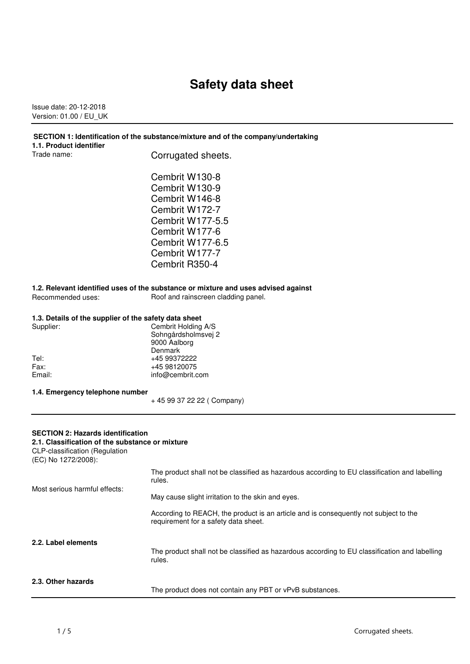# **Safety data sheet**

Issue date: 20-12-2018 Version: 01.00 / EU\_UK

| SECTION 1: Identification of the substance/mixture and of the company/undertaking |  |
|-----------------------------------------------------------------------------------|--|
|                                                                                   |  |

|             | 1.1. Product identifier |
|-------------|-------------------------|
| Trade name: |                         |

Corrugated sheets.

Cembrit W130-8 Cembrit W130-9 Cembrit W146-8 Cembrit W172-7 Cembrit W177-5.5 Cembrit W177-6 Cembrit W177-6.5 Cembrit W177-7 Cembrit R350-4

**1.2. Relevant identified uses of the substance or mixture and uses advised against** Roof and rainscreen cladding panel.

|  |  |  | 1.3. Details of the supplier of the safety data sheet |  |
|--|--|--|-------------------------------------------------------|--|
|--|--|--|-------------------------------------------------------|--|

| Supplier: | Cembrit Holding A/S |
|-----------|---------------------|
|           | Sohngårdsholmsvej 2 |
|           | 9000 Aalborg        |
|           | Denmark             |
| Tel:      | +45 99372222        |
| Fax:      | +45 98120075        |
| Email:    | info@cembrit.com    |
|           |                     |

**1.4. Emergency telephone number**

+ 45 99 37 22 22 ( Company)

#### **SECTION 2: Hazards identification**

#### **2.1. Classification of the substance or mixture**

CLP-classification (Regulation (EC) No 1272/2008):

| 2.3. Other hazards            | The product does not contain any PBT or vPvB substances.                                                                                                     |
|-------------------------------|--------------------------------------------------------------------------------------------------------------------------------------------------------------|
| 2.2. Label elements           | The product shall not be classified as hazardous according to EU classification and labelling<br>rules.                                                      |
|                               | According to REACH, the product is an article and is consequently not subject to the<br>requirement for a safety data sheet.                                 |
| Most serious harmful effects: | The product shall not be classified as hazardous according to EU classification and labelling<br>rules.<br>May cause slight irritation to the skin and eyes. |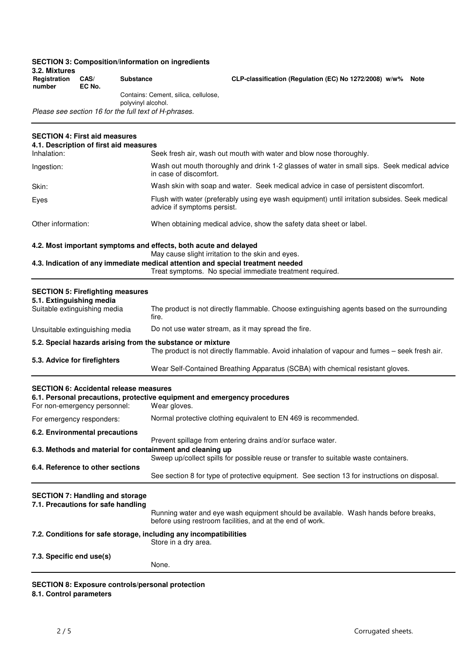| 3.2. Mixtures<br>Registration<br>number                  | CAS/<br>EC No. | <b>Substance</b>                                           | CLP-classification (Regulation (EC) No 1272/2008) w/w%<br><b>Note</b>                                                                                       |
|----------------------------------------------------------|----------------|------------------------------------------------------------|-------------------------------------------------------------------------------------------------------------------------------------------------------------|
|                                                          |                | Contains: Cement, silica, cellulose,<br>polyvinyl alcohol. |                                                                                                                                                             |
|                                                          |                | Please see section 16 for the full text of H-phrases.      |                                                                                                                                                             |
| <b>SECTION 4: First aid measures</b>                     |                |                                                            |                                                                                                                                                             |
|                                                          |                | 4.1. Description of first aid measures                     |                                                                                                                                                             |
| Inhalation:                                              |                |                                                            | Seek fresh air, wash out mouth with water and blow nose thoroughly.                                                                                         |
| Ingestion:                                               |                |                                                            | Wash out mouth thoroughly and drink 1-2 glasses of water in small sips. Seek medical advice<br>in case of discomfort.                                       |
| Skin:                                                    |                |                                                            | Wash skin with soap and water. Seek medical advice in case of persistent discomfort.                                                                        |
| Eyes                                                     |                |                                                            | Flush with water (preferably using eye wash equipment) until irritation subsides. Seek medical<br>advice if symptoms persist.                               |
| Other information:                                       |                |                                                            | When obtaining medical advice, show the safety data sheet or label.                                                                                         |
|                                                          |                |                                                            | 4.2. Most important symptoms and effects, both acute and delayed<br>May cause slight irritation to the skin and eyes.                                       |
|                                                          |                |                                                            | 4.3. Indication of any immediate medical attention and special treatment needed                                                                             |
|                                                          |                |                                                            | Treat symptoms. No special immediate treatment required.                                                                                                    |
| <b>SECTION 5: Firefighting measures</b>                  |                |                                                            |                                                                                                                                                             |
| 5.1. Extinguishing media<br>Suitable extinguishing media |                |                                                            | The product is not directly flammable. Choose extinguishing agents based on the surrounding                                                                 |
|                                                          |                | fire.                                                      |                                                                                                                                                             |
| Unsuitable extinguishing media                           |                |                                                            | Do not use water stream, as it may spread the fire.                                                                                                         |
|                                                          |                |                                                            | 5.2. Special hazards arising from the substance or mixture<br>The product is not directly flammable. Avoid inhalation of vapour and fumes - seek fresh air. |
| 5.3. Advice for firefighters                             |                |                                                            | Wear Self-Contained Breathing Apparatus (SCBA) with chemical resistant gloves.                                                                              |
|                                                          |                | <b>SECTION 6: Accidental release measures</b>              |                                                                                                                                                             |
| For non-emergency personnel:                             |                |                                                            | 6.1. Personal precautions, protective equipment and emergency procedures<br>Wear gloves.                                                                    |
| For emergency responders:                                |                |                                                            | Normal protective clothing equivalent to EN 469 is recommended.                                                                                             |
| 6.2. Environmental precautions                           |                |                                                            |                                                                                                                                                             |
|                                                          |                |                                                            | Prevent spillage from entering drains and/or surface water.<br>6.3. Methods and material for containment and cleaning up                                    |
|                                                          |                |                                                            | Sweep up/collect spills for possible reuse or transfer to suitable waste containers.                                                                        |
| 6.4. Reference to other sections                         |                |                                                            | See section 8 for type of protective equipment. See section 13 for instructions on disposal.                                                                |
| <b>SECTION 7: Handling and storage</b>                   |                |                                                            |                                                                                                                                                             |
| 7.1. Precautions for safe handling                       |                |                                                            | Running water and eye wash equipment should be available. Wash hands before breaks,<br>before using restroom facilities, and at the end of work.            |
|                                                          |                |                                                            | 7.2. Conditions for safe storage, including any incompatibilities<br>Store in a dry area.                                                                   |
| 7.3. Specific end use(s)                                 |                |                                                            |                                                                                                                                                             |
|                                                          |                | None.                                                      |                                                                                                                                                             |
|                                                          |                |                                                            |                                                                                                                                                             |

**SECTION 8: Exposure controls/personal protection**

**SECTION 3: Composition/information on ingredients**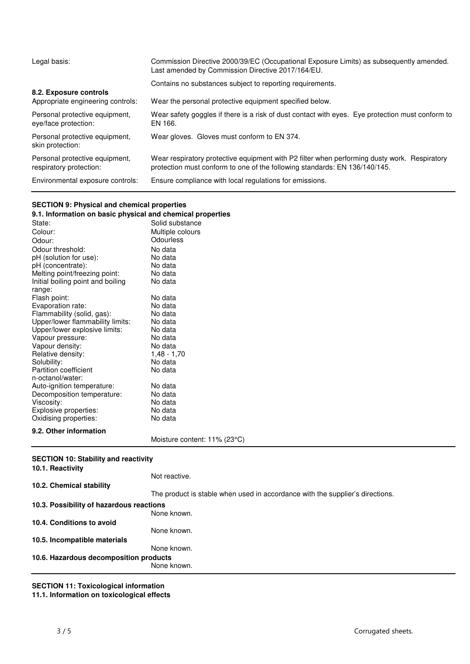| Legal basis:                                              | Commission Directive 2000/39/EC (Occupational Exposure Limits) as subsequently amended.<br>Last amended by Commission Directive 2017/164/EU.                               |
|-----------------------------------------------------------|----------------------------------------------------------------------------------------------------------------------------------------------------------------------------|
| 8.2. Exposure controls                                    | Contains no substances subject to reporting requirements.                                                                                                                  |
| Appropriate engineering controls:                         | Wear the personal protective equipment specified below.                                                                                                                    |
| Personal protective equipment,<br>eye/face protection:    | Wear safety goggles if there is a risk of dust contact with eyes. Eye protection must conform to<br>EN 166.                                                                |
| Personal protective equipment.<br>skin protection:        | Wear gloves. Gloves must conform to EN 374.                                                                                                                                |
| Personal protective equipment,<br>respiratory protection: | Wear respiratory protective equipment with P2 filter when performing dusty work. Respiratory<br>protection must conform to one of the following standards: EN 136/140/145. |
| Environmental exposure controls:                          | Ensure compliance with local regulations for emissions.                                                                                                                    |

## **SECTION 9: Physical and chemical properties**

| 9.1. Information on basic physical and chemical properties |                                                                               |
|------------------------------------------------------------|-------------------------------------------------------------------------------|
| State:                                                     | Solid substance                                                               |
| Colour:                                                    | Multiple colours                                                              |
| Odour:                                                     | <b>Odourless</b>                                                              |
| Odour threshold:                                           | No data                                                                       |
| pH (solution for use):                                     | No data                                                                       |
| pH (concentrate):                                          | No data                                                                       |
| Melting point/freezing point:                              | No data                                                                       |
| Initial boiling point and boiling                          | No data                                                                       |
| range:                                                     |                                                                               |
| Flash point:                                               | No data                                                                       |
| Evaporation rate:                                          | No data                                                                       |
| Flammability (solid, gas):                                 | No data                                                                       |
| Upper/lower flammability limits:                           | No data                                                                       |
| Upper/lower explosive limits:                              | No data                                                                       |
| Vapour pressure:                                           | No data                                                                       |
| Vapour density:                                            | No data                                                                       |
| Relative density:                                          | $1,48 - 1,70$                                                                 |
| Solubility:                                                | No data                                                                       |
| Partition coefficient                                      | No data                                                                       |
| n-octanol/water:                                           |                                                                               |
| Auto-ignition temperature:                                 | No data                                                                       |
| Decomposition temperature:                                 | No data                                                                       |
| Viscosity:                                                 | No data                                                                       |
| Explosive properties:                                      | No data                                                                       |
| Oxidising properties:                                      | No data                                                                       |
| 9.2. Other information                                     |                                                                               |
|                                                            | Moisture content: 11% (23°C)                                                  |
|                                                            |                                                                               |
| <b>SECTION 10: Stability and reactivity</b>                |                                                                               |
| 10.1. Reactivity                                           |                                                                               |
|                                                            | Not reactive.                                                                 |
| 10.2. Chemical stability                                   |                                                                               |
|                                                            | The product is stable when used in accordance with the supplier's directions. |
|                                                            |                                                                               |
| 10.3. Possibility of hazardous reactions                   |                                                                               |
|                                                            | None known.                                                                   |
| 10.4. Conditions to avoid                                  |                                                                               |
|                                                            | None known.                                                                   |
| 10.5. Incompatible materials                               |                                                                               |
|                                                            | None known.                                                                   |
| 10.6. Hazardous decomposition products                     |                                                                               |
|                                                            | None known.                                                                   |
|                                                            |                                                                               |
|                                                            |                                                                               |

## **SECTION 11: Toxicological information**

**11.1. Information on toxicological effects**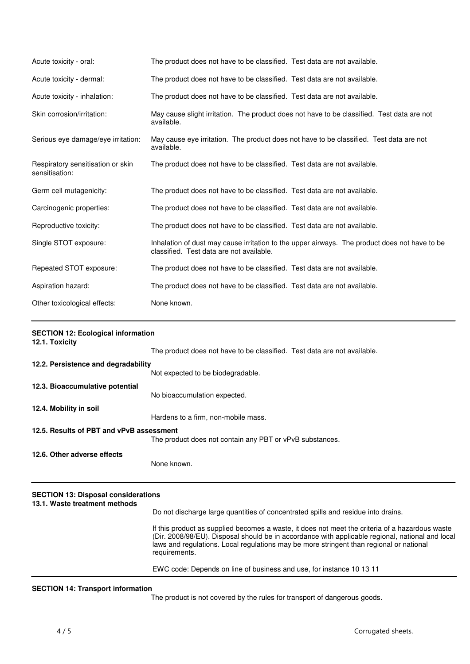| Acute toxicity - oral:                              | The product does not have to be classified. Test data are not available.                                                                  |
|-----------------------------------------------------|-------------------------------------------------------------------------------------------------------------------------------------------|
| Acute toxicity - dermal:                            | The product does not have to be classified. Test data are not available.                                                                  |
| Acute toxicity - inhalation:                        | The product does not have to be classified. Test data are not available.                                                                  |
| Skin corrosion/irritation:                          | May cause slight irritation. The product does not have to be classified. Test data are not<br>available.                                  |
| Serious eye damage/eye irritation:                  | May cause eye irritation. The product does not have to be classified. Test data are not<br>available.                                     |
| Respiratory sensitisation or skin<br>sensitisation: | The product does not have to be classified. Test data are not available.                                                                  |
| Germ cell mutagenicity:                             | The product does not have to be classified. Test data are not available.                                                                  |
| Carcinogenic properties:                            | The product does not have to be classified. Test data are not available.                                                                  |
| Reproductive toxicity:                              | The product does not have to be classified. Test data are not available.                                                                  |
| Single STOT exposure:                               | Inhalation of dust may cause irritation to the upper airways. The product does not have to be<br>classified. Test data are not available. |
| Repeated STOT exposure:                             | The product does not have to be classified. Test data are not available.                                                                  |
| Aspiration hazard:                                  | The product does not have to be classified. Test data are not available.                                                                  |
| Other toxicological effects:                        | None known.                                                                                                                               |

|  | <b>SECTION 12: Ecological information</b> |
|--|-------------------------------------------|
|  |                                           |

| 12.1. Toxicity                           |                                                                          |
|------------------------------------------|--------------------------------------------------------------------------|
|                                          | The product does not have to be classified. Test data are not available. |
| 12.2. Persistence and degradability      |                                                                          |
|                                          | Not expected to be biodegradable.                                        |
| 12.3. Bioaccumulative potential          |                                                                          |
|                                          | No bioaccumulation expected.                                             |
| 12.4. Mobility in soil                   |                                                                          |
|                                          | Hardens to a firm, non-mobile mass.                                      |
| 12.5. Results of PBT and vPvB assessment |                                                                          |
|                                          | The product does not contain any PBT or vPvB substances.                 |
| 12.6. Other adverse effects              |                                                                          |
|                                          | None known.                                                              |
|                                          |                                                                          |

## **SECTION 13: Disposal considerations**

### **13.1. Waste treatment methods**

Do not discharge large quantities of concentrated spills and residue into drains.

If this product as supplied becomes a waste, it does not meet the criteria of a hazardous waste (Dir. 2008/98/EU). Disposal should be in accordance with applicable regional, national and local laws and regulations. Local regulations may be more stringent than regional or national requirements.

EWC code: Depends on line of business and use, for instance 10 13 11

#### **SECTION 14: Transport information**

The product is not covered by the rules for transport of dangerous goods.